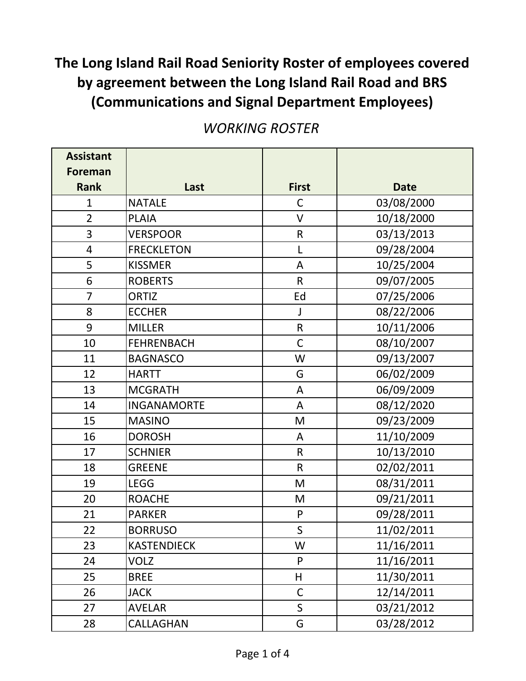| <b>Assistant</b> |                    |                |             |
|------------------|--------------------|----------------|-------------|
| <b>Foreman</b>   |                    |                |             |
| <b>Rank</b>      | Last               | <b>First</b>   | <b>Date</b> |
| $\mathbf{1}$     | <b>NATALE</b>      | $\mathsf{C}$   | 03/08/2000  |
| $\overline{2}$   | <b>PLAIA</b>       | $\vee$         | 10/18/2000  |
| 3                | <b>VERSPOOR</b>    | $\mathsf R$    | 03/13/2013  |
| 4                | <b>FRECKLETON</b>  | L              | 09/28/2004  |
| 5                | <b>KISSMER</b>     | A              | 10/25/2004  |
| 6                | <b>ROBERTS</b>     | $\mathsf R$    | 09/07/2005  |
| $\overline{7}$   | <b>ORTIZ</b>       | Ed             | 07/25/2006  |
| 8                | <b>ECCHER</b>      | J              | 08/22/2006  |
| 9                | <b>MILLER</b>      | $\mathsf R$    | 10/11/2006  |
| 10               | <b>FEHRENBACH</b>  | $\mathsf C$    | 08/10/2007  |
| 11               | <b>BAGNASCO</b>    | W              | 09/13/2007  |
| 12               | <b>HARTT</b>       | G              | 06/02/2009  |
| 13               | <b>MCGRATH</b>     | A              | 06/09/2009  |
| 14               | <b>INGANAMORTE</b> | A              | 08/12/2020  |
| 15               | <b>MASINO</b>      | M              | 09/23/2009  |
| 16               | <b>DOROSH</b>      | A              | 11/10/2009  |
| 17               | <b>SCHNIER</b>     | $\mathsf{R}$   | 10/13/2010  |
| 18               | <b>GREENE</b>      | $\mathsf{R}$   | 02/02/2011  |
| 19               | <b>LEGG</b>        | M              | 08/31/2011  |
| 20               | <b>ROACHE</b>      | M              | 09/21/2011  |
| 21               | <b>PARKER</b>      | ${\sf P}$      | 09/28/2011  |
| 22               | <b>BORRUSO</b>     | $\overline{S}$ | 11/02/2011  |
| 23               | <b>KASTENDIECK</b> | W              | 11/16/2011  |
| 24               | <b>VOLZ</b>        | P              | 11/16/2011  |
| 25               | <b>BREE</b>        | H              | 11/30/2011  |
| 26               | <b>JACK</b>        | $\mathsf{C}$   | 12/14/2011  |
| 27               | <b>AVELAR</b>      | $\mathsf{S}$   | 03/21/2012  |
| 28               | CALLAGHAN          | G              | 03/28/2012  |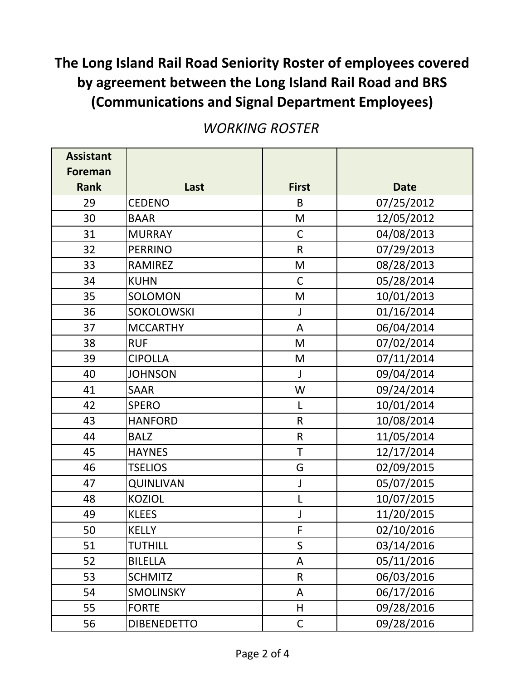| <b>Assistant</b> |                    |              |             |
|------------------|--------------------|--------------|-------------|
| <b>Foreman</b>   |                    |              |             |
| <b>Rank</b>      | Last               | <b>First</b> | <b>Date</b> |
| 29               | <b>CEDENO</b>      | B            | 07/25/2012  |
| 30               | <b>BAAR</b>        | M            | 12/05/2012  |
| 31               | <b>MURRAY</b>      | $\mathsf C$  | 04/08/2013  |
| 32               | <b>PERRINO</b>     | $\mathsf{R}$ | 07/29/2013  |
| 33               | <b>RAMIREZ</b>     | M            | 08/28/2013  |
| 34               | <b>KUHN</b>        | $\mathsf{C}$ | 05/28/2014  |
| 35               | SOLOMON            | M            | 10/01/2013  |
| 36               | SOKOLOWSKI         | J            | 01/16/2014  |
| 37               | <b>MCCARTHY</b>    | A            | 06/04/2014  |
| 38               | <b>RUF</b>         | M            | 07/02/2014  |
| 39               | <b>CIPOLLA</b>     | M            | 07/11/2014  |
| 40               | <b>JOHNSON</b>     | $\mathsf{J}$ | 09/04/2014  |
| 41               | <b>SAAR</b>        | W            | 09/24/2014  |
| 42               | <b>SPERO</b>       | L            | 10/01/2014  |
| 43               | <b>HANFORD</b>     | $\mathsf{R}$ | 10/08/2014  |
| 44               | <b>BALZ</b>        | $\mathsf R$  | 11/05/2014  |
| 45               | <b>HAYNES</b>      | $\mathsf T$  | 12/17/2014  |
| 46               | <b>TSELIOS</b>     | G            | 02/09/2015  |
| 47               | QUINLIVAN          | J            | 05/07/2015  |
| 48               | <b>KOZIOL</b>      | L            | 10/07/2015  |
| 49               | <b>KLEES</b>       | J            | 11/20/2015  |
| 50               | <b>KELLY</b>       | F            | 02/10/2016  |
| 51               | <b>TUTHILL</b>     | $\mathsf S$  | 03/14/2016  |
| 52               | <b>BILELLA</b>     | A            | 05/11/2016  |
| 53               | <b>SCHMITZ</b>     | $\mathsf{R}$ | 06/03/2016  |
| 54               | <b>SMOLINSKY</b>   | A            | 06/17/2016  |
| 55               | <b>FORTE</b>       | H            | 09/28/2016  |
| 56               | <b>DIBENEDETTO</b> | $\mathsf C$  | 09/28/2016  |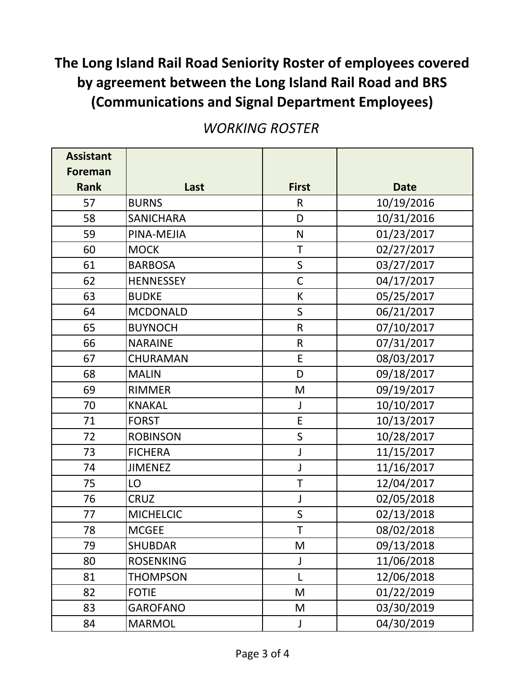| <b>Assistant</b> |                  |              |             |
|------------------|------------------|--------------|-------------|
| <b>Foreman</b>   |                  |              |             |
| <b>Rank</b>      | Last             | <b>First</b> | <b>Date</b> |
| 57               | <b>BURNS</b>     | $\mathsf{R}$ | 10/19/2016  |
| 58               | SANICHARA        | D            | 10/31/2016  |
| 59               | PINA-MEJIA       | N            | 01/23/2017  |
| 60               | <b>MOCK</b>      | $\mathsf T$  | 02/27/2017  |
| 61               | <b>BARBOSA</b>   | $\mathsf S$  | 03/27/2017  |
| 62               | <b>HENNESSEY</b> | $\mathsf C$  | 04/17/2017  |
| 63               | <b>BUDKE</b>     | K            | 05/25/2017  |
| 64               | <b>MCDONALD</b>  | $\mathsf S$  | 06/21/2017  |
| 65               | <b>BUYNOCH</b>   | $\mathsf{R}$ | 07/10/2017  |
| 66               | <b>NARAINE</b>   | $\mathsf R$  | 07/31/2017  |
| 67               | CHURAMAN         | E            | 08/03/2017  |
| 68               | <b>MALIN</b>     | D            | 09/18/2017  |
| 69               | <b>RIMMER</b>    | M            | 09/19/2017  |
| 70               | <b>KNAKAL</b>    | $\mathsf J$  | 10/10/2017  |
| 71               | <b>FORST</b>     | E            | 10/13/2017  |
| 72               | <b>ROBINSON</b>  | $\mathsf S$  | 10/28/2017  |
| 73               | <b>FICHERA</b>   | J            | 11/15/2017  |
| 74               | <b>JIMENEZ</b>   | J            | 11/16/2017  |
| 75               | LO               | T            | 12/04/2017  |
| 76               | <b>CRUZ</b>      | J            | 02/05/2018  |
| 77               | <b>MICHELCIC</b> | $\mathsf S$  | 02/13/2018  |
| 78               | <b>MCGEE</b>     | T            | 08/02/2018  |
| 79               | <b>SHUBDAR</b>   | M            | 09/13/2018  |
| 80               | <b>ROSENKING</b> | J            | 11/06/2018  |
| 81               | <b>THOMPSON</b>  | L            | 12/06/2018  |
| 82               | <b>FOTIE</b>     | M            | 01/22/2019  |
| 83               | <b>GAROFANO</b>  | M            | 03/30/2019  |
| 84               | <b>MARMOL</b>    | J            | 04/30/2019  |